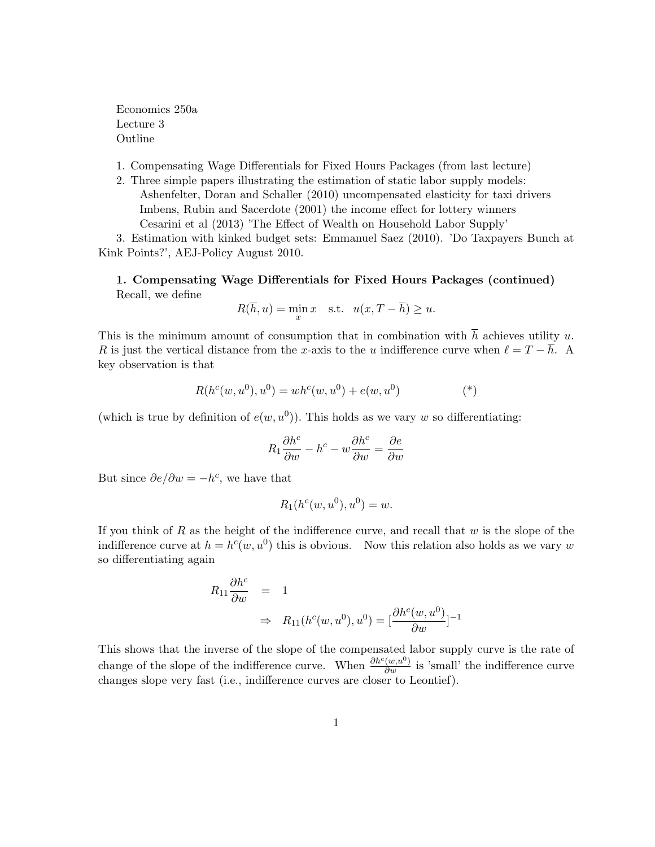Economics 250a Lecture 3 Outline

1. Compensating Wage Differentials for Fixed Hours Packages (from last lecture)

2. Three simple papers illustrating the estimation of static labor supply models: Ashenfelter, Doran and Schaller (2010) uncompensated elasticity for taxi drivers Imbens, Rubin and Sacerdote (2001) the income effect for lottery winners Cesarini et al (2013) 'The Effect of Wealth on Household Labor Supply'

3. Estimation with kinked budget sets: Emmanuel Saez (2010). 'Do Taxpayers Bunch at Kink Points?', AEJ-Policy August 2010.

1. Compensating Wage Differentials for Fixed Hours Packages (continued) Recall, we define

$$
R(\overline{h}, u) = \min_{x} x \quad \text{s.t.} \quad u(x, T - \overline{h}) \ge u.
$$

This is the minimum amount of consumption that in combination with  $\overline{h}$  achieves utility u. R is just the vertical distance from the x-axis to the u indifference curve when  $\ell = T - \overline{h}$ . A key observation is that

$$
R(h^{c}(w, u^{0}), u^{0}) = wh^{c}(w, u^{0}) + e(w, u^{0})
$$
<sup>(\*)</sup>

(which is true by definition of  $e(w, u^0)$ ). This holds as we vary w so differentiating:

$$
R_1 \frac{\partial h^c}{\partial w} - h^c - w \frac{\partial h^c}{\partial w} = \frac{\partial e}{\partial w}
$$

But since  $\partial e/\partial w = -h^c$ , we have that

$$
R_1(h^c(w, u^0), u^0) = w.
$$

If you think of R as the height of the indifference curve, and recall that  $w$  is the slope of the indifference curve at  $h = h^c(w, u^0)$  this is obvious. Now this relation also holds as we vary w so differentiating again

$$
R_{11} \frac{\partial h^c}{\partial w} = 1
$$
  
\n
$$
\Rightarrow R_{11}(h^c(w, u^0), u^0) = \left[\frac{\partial h^c(w, u^0)}{\partial w}\right]^{-1}
$$

This shows that the inverse of the slope of the compensated labor supply curve is the rate of change of the slope of the indifference curve. When  $\frac{\partial h^c(w,u^0)}{\partial w}$  is 'small' the indifference curve changes slope very fast (i.e., indifference curves are closer to Leontief).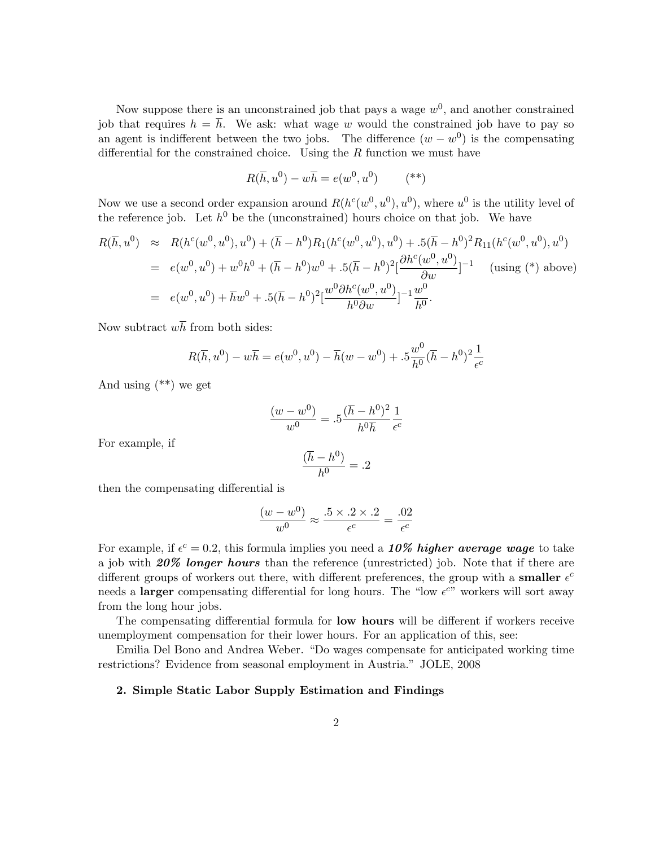Now suppose there is an unconstrained job that pays a wage  $w^0$ , and another constrained job that requires  $h = \overline{h}$ . We ask: what wage w would the constrained job have to pay so an agent is indifferent between the two jobs. The difference  $(w - w^0)$  is the compensating differential for the constrained choice. Using the  $R$  function we must have

$$
R(\overline{h}, u^0) - w\overline{h} = e(w^0, u^0) \qquad (*)
$$

Now we use a second order expansion around  $R(h^c(w^0, u^0), u^0)$ , where  $u^0$  is the utility level of the reference job. Let  $h^0$  be the (unconstrained) hours choice on that job. We have

$$
R(\overline{h}, u^0) \approx R(h^c(w^0, u^0), u^0) + (\overline{h} - h^0)R_1(h^c(w^0, u^0), u^0) + .5(\overline{h} - h^0)^2 R_{11}(h^c(w^0, u^0), u^0)
$$
  
=  $e(w^0, u^0) + w^0 h^0 + (\overline{h} - h^0) w^0 + .5(\overline{h} - h^0)^2 \left[ \frac{\partial h^c(w^0, u^0)}{\partial w} \right]^{-1}$  (using (\*) above)  
=  $e(w^0, u^0) + \overline{h}w^0 + .5(\overline{h} - h^0)^2 \left[ \frac{w^0 \partial h^c(w^0, u^0)}{h^0 \partial w} \right]^{-1} \frac{w^0}{h^0}.$ 

Now subtract  $w\overline{h}$  from both sides:

$$
R(\overline{h}, u^{0}) - w\overline{h} = e(w^{0}, u^{0}) - \overline{h}(w - w^{0}) + .5\frac{w^{0}}{h^{0}}(\overline{h} - h^{0})^{2}\frac{1}{\epsilon^{c}}
$$

And using  $(**)$  we get

$$
\frac{(w - w^0)}{w^0} = .5 \frac{(\overline{h} - h^0)^2}{h^0 \overline{h}} \frac{1}{\epsilon^c}
$$

For example, if

$$
\frac{(\overline{h} - h^0)}{h^0} = .2
$$

then the compensating differential is

$$
\frac{(w - w^0)}{w^0} \approx \frac{.5 \times .2 \times .2}{\epsilon^c} = \frac{.02}{\epsilon^c}
$$

For example, if  $\epsilon^c = 0.2$ , this formula implies you need a 10% higher average wage to take a job with  $20\%$  longer hours than the reference (unrestricted) job. Note that if there are different groups of workers out there, with different preferences, the group with a **smaller**  $\epsilon^c$ needs a larger compensating differential for long hours. The "low  $\epsilon^{c}$ " workers will sort away from the long hour jobs.

The compensating differential formula for low hours will be different if workers receive unemployment compensation for their lower hours. For an application of this, see:

Emilia Del Bono and Andrea Weber. "Do wages compensate for anticipated working time restrictions? Evidence from seasonal employment in Austria." JOLE, 2008

#### 2. Simple Static Labor Supply Estimation and Findings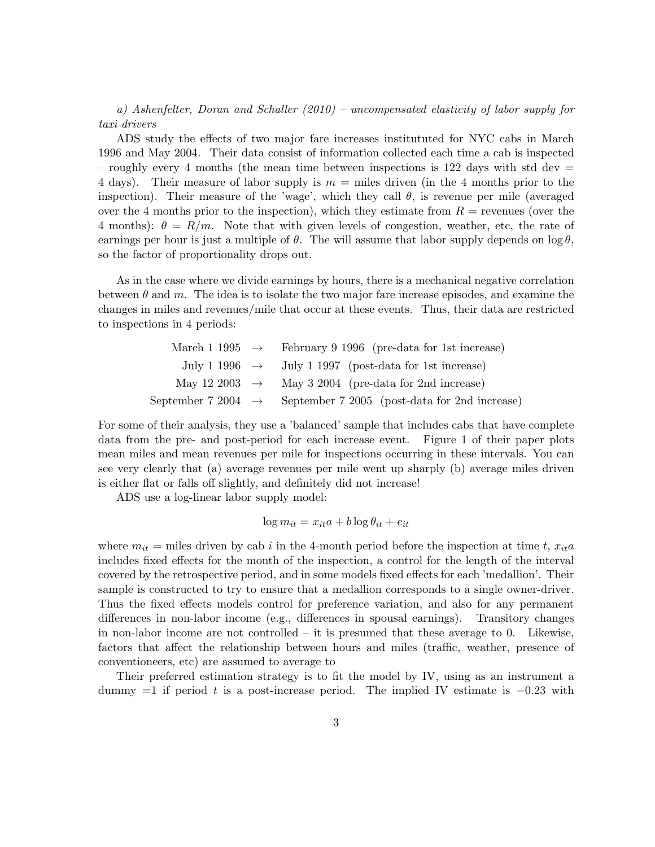a) Ashenfelter, Doran and Schaller (2010) – uncompensated elasticity of labor supply for taxi drivers

ADS study the effects of two major fare increases institututed for NYC cabs in March 1996 and May 2004. Their data consist of information collected each time a cab is inspected – roughly every 4 months (the mean time between inspections is 122 days with std dev  $=$ 4 days). Their measure of labor supply is  $m =$  miles driven (in the 4 months prior to the inspection). Their measure of the 'wage', which they call  $\theta$ , is revenue per mile (averaged over the 4 months prior to the inspection), which they estimate from  $R =$  revenues (over the 4 months):  $\theta = R/m$ . Note that with given levels of congestion, weather, etc, the rate of earnings per hour is just a multiple of  $\theta$ . The will assume that labor supply depends on  $\log \theta$ , so the factor of proportionality drops out.

As in the case where we divide earnings by hours, there is a mechanical negative correlation between  $\theta$  and m. The idea is to isolate the two major fare increase episodes, and examine the changes in miles and revenues/mile that occur at these events. Thus, their data are restricted to inspections in 4 periods:

| March 1 1995 $\rightarrow$ February 9 1996 (pre-data for 1st increase)       |
|------------------------------------------------------------------------------|
| July 1 1996 $\rightarrow$ July 1 1997 (post-data for 1st increase)           |
| May 12 2003 $\rightarrow$ May 3 2004 (pre-data for 2nd increase)             |
| September 7 2004 $\rightarrow$ September 7 2005 (post-data for 2nd increase) |

For some of their analysis, they use a 'balanced' sample that includes cabs that have complete data from the pre- and post-period for each increase event. Figure 1 of their paper plots mean miles and mean revenues per mile for inspections occurring in these intervals. You can see very clearly that (a) average revenues per mile went up sharply (b) average miles driven is either flat or falls off slightly, and definitely did not increase!

ADS use a log-linear labor supply model:

$$
\log m_{it} = x_{it}a + b\log\theta_{it} + e_{it}
$$

where  $m_{it}$  = miles driven by cab i in the 4-month period before the inspection at time t,  $x_{it}$ includes fixed effects for the month of the inspection, a control for the length of the interval covered by the retrospective period, and in some models fixed effects for each 'medallion'. Their sample is constructed to try to ensure that a medallion corresponds to a single owner-driver. Thus the fixed effects models control for preference variation, and also for any permanent differences in non-labor income (e.g., differences in spousal earnings). Transitory changes in non-labor income are not controlled – it is presumed that these average to 0. Likewise, factors that affect the relationship between hours and miles (traffic, weather, presence of conventioneers, etc) are assumed to average to

Their preferred estimation strategy is to fit the model by IV, using as an instrument a dummy  $=1$  if period t is a post-increase period. The implied IV estimate is  $-0.23$  with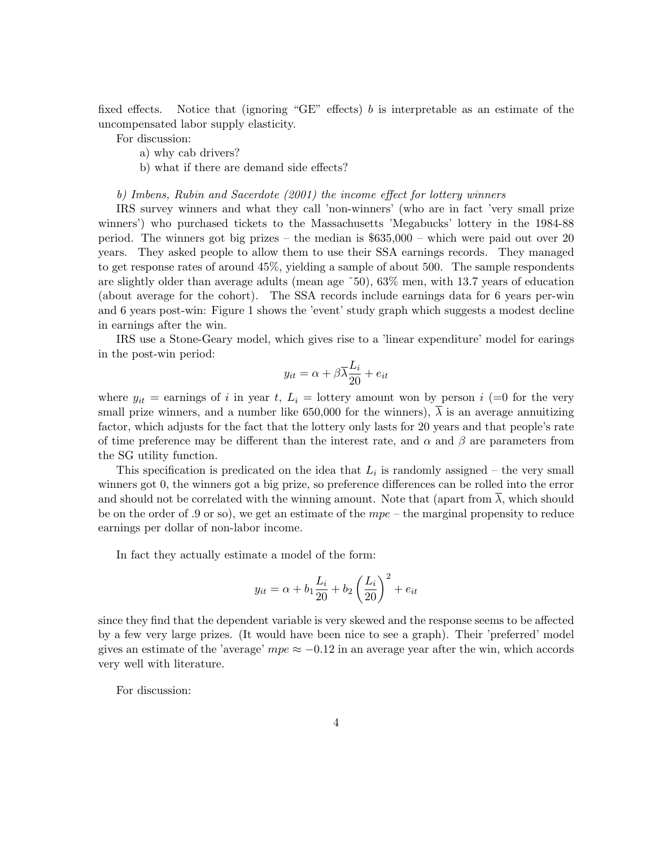fixed effects. Notice that (ignoring "GE" effects) b is interpretable as an estimate of the uncompensated labor supply elasticity.

For discussion:

- a) why cab drivers?
- b) what if there are demand side effects?

#### b) Imbens, Rubin and Sacerdote (2001) the income effect for lottery winners

IRS survey winners and what they call 'non-winners' (who are in fact 'very small prize winners') who purchased tickets to the Massachusetts 'Megabucks' lottery in the 1984-88 period. The winners got big prizes – the median is \$635,000 – which were paid out over 20 years. They asked people to allow them to use their SSA earnings records. They managed to get response rates of around 45%, yielding a sample of about 500. The sample respondents are slightly older than average adults (mean age ˜50), 63% men, with 13.7 years of education (about average for the cohort). The SSA records include earnings data for 6 years per-win and 6 years post-win: Figure 1 shows the 'event' study graph which suggests a modest decline in earnings after the win.

IRS use a Stone-Geary model, which gives rise to a 'linear expenditure' model for earings in the post-win period:

$$
y_{it} = \alpha + \beta \overline{\lambda} \frac{L_i}{20} + e_{it}
$$

where  $y_{it}$  = earnings of i in year t,  $L_i$  = lottery amount won by person i (=0 for the very small prize winners, and a number like 650,000 for the winners),  $\lambda$  is an average annuitizing factor, which adjusts for the fact that the lottery only lasts for 20 years and that people's rate of time preference may be different than the interest rate, and  $\alpha$  and  $\beta$  are parameters from the SG utility function.

This specification is predicated on the idea that  $L_i$  is randomly assigned – the very small winners got 0, the winners got a big prize, so preference differences can be rolled into the error and should not be correlated with the winning amount. Note that (apart from  $\overline{\lambda}$ , which should be on the order of .9 or so), we get an estimate of the  $mpe$  – the marginal propensity to reduce earnings per dollar of non-labor income.

In fact they actually estimate a model of the form:

$$
y_{it} = \alpha + b_1 \frac{L_i}{20} + b_2 \left(\frac{L_i}{20}\right)^2 + e_{it}
$$

since they find that the dependent variable is very skewed and the response seems to be affected by a few very large prizes. (It would have been nice to see a graph). Their 'preferred' model gives an estimate of the 'average'  $mpe \approx -0.12$  in an average year after the win, which accords very well with literature.

For discussion: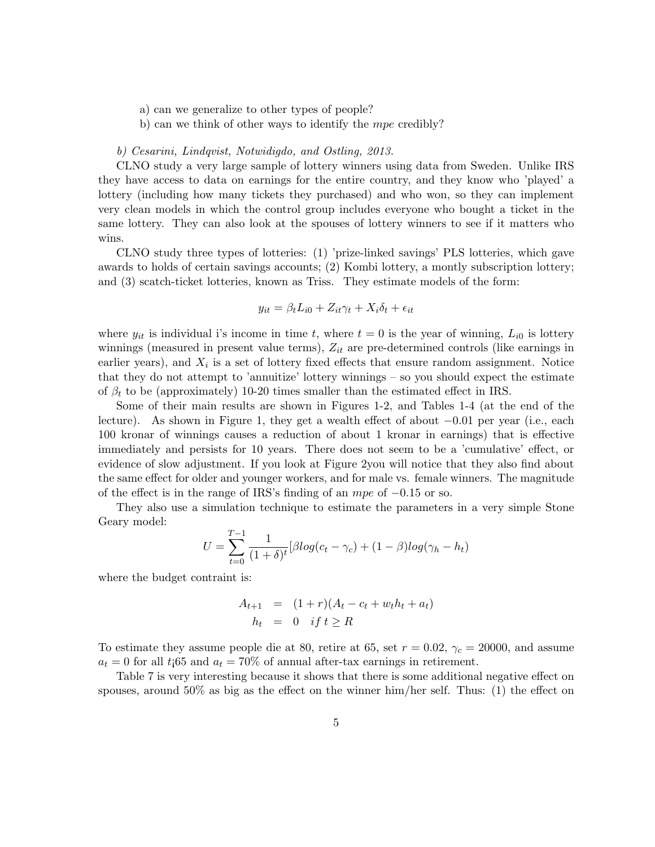- a) can we generalize to other types of people?
- b) can we think of other ways to identify the mpe credibly?

#### b) Cesarini, Lindqvist, Notwidigdo, and Ostling, 2013.

CLNO study a very large sample of lottery winners using data from Sweden. Unlike IRS they have access to data on earnings for the entire country, and they know who 'played' a lottery (including how many tickets they purchased) and who won, so they can implement very clean models in which the control group includes everyone who bought a ticket in the same lottery. They can also look at the spouses of lottery winners to see if it matters who wins.

CLNO study three types of lotteries: (1) 'prize-linked savings' PLS lotteries, which gave awards to holds of certain savings accounts; (2) Kombi lottery, a montly subscription lottery; and (3) scatch-ticket lotteries, known as Triss. They estimate models of the form:

$$
y_{it} = \beta_t L_{i0} + Z_{it}\gamma_t + X_i\delta_t + \epsilon_{it}
$$

where  $y_{it}$  is individual i's income in time t, where  $t = 0$  is the year of winning,  $L_{i0}$  is lottery winnings (measured in present value terms),  $Z_{it}$  are pre-determined controls (like earnings in earlier years), and  $X_i$  is a set of lottery fixed effects that ensure random assignment. Notice that they do not attempt to 'annuitize' lottery winnings – so you should expect the estimate of  $\beta_t$  to be (approximately) 10-20 times smaller than the estimated effect in IRS.

Some of their main results are shown in Figures 1-2, and Tables 1-4 (at the end of the lecture). As shown in Figure 1, they get a wealth effect of about −0.01 per year (i.e., each 100 kronar of winnings causes a reduction of about 1 kronar in earnings) that is effective immediately and persists for 10 years. There does not seem to be a 'cumulative' effect, or evidence of slow adjustment. If you look at Figure 2you will notice that they also find about the same effect for older and younger workers, and for male vs. female winners. The magnitude of the effect is in the range of IRS's finding of an mpe of −0.15 or so.

They also use a simulation technique to estimate the parameters in a very simple Stone Geary model:

$$
U = \sum_{t=0}^{T-1} \frac{1}{(1+\delta)^t} [\beta log(c_t - \gamma_c) + (1-\beta) log(\gamma_h - h_t)]
$$

where the budget contraint is:

$$
A_{t+1} = (1+r)(A_t - c_t + w_t h_t + a_t)
$$
  

$$
h_t = 0 \quad \text{if } t \ge R
$$

To estimate they assume people die at 80, retire at 65, set  $r = 0.02$ ,  $\gamma_c = 20000$ , and assume  $a_t = 0$  for all t<sub>1</sub>65 and  $a_t = 70\%$  of annual after-tax earnings in retirement.

Table 7 is very interesting because it shows that there is some additional negative effect on spouses, around  $50\%$  as big as the effect on the winner him/her self. Thus: (1) the effect on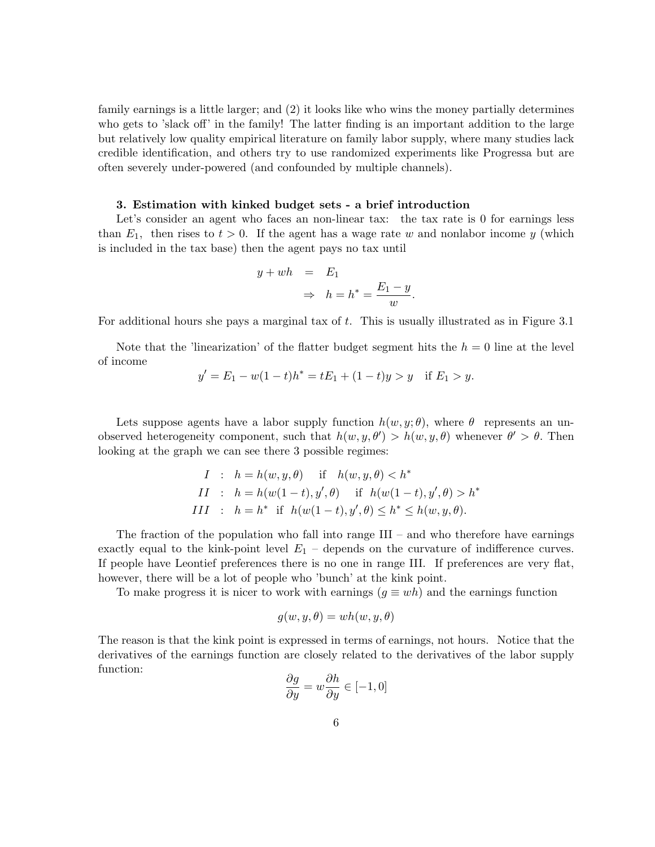family earnings is a little larger; and (2) it looks like who wins the money partially determines who gets to 'slack off' in the family! The latter finding is an important addition to the large but relatively low quality empirical literature on family labor supply, where many studies lack credible identification, and others try to use randomized experiments like Progressa but are often severely under-powered (and confounded by multiple channels).

#### 3. Estimation with kinked budget sets - a brief introduction

Let's consider an agent who faces an non-linear tax: the tax rate is 0 for earnings less than  $E_1$ , then rises to  $t > 0$ . If the agent has a wage rate w and nonlabor income y (which is included in the tax base) then the agent pays no tax until

$$
y + wh = E_1
$$
  

$$
\Rightarrow h = h^* = \frac{E_1 - y}{w}.
$$

For additional hours she pays a marginal tax of t. This is usually illustrated as in Figure 3.1

Note that the 'linearization' of the flatter budget segment hits the  $h = 0$  line at the level of income

$$
y' = E_1 - w(1-t)h^* = tE_1 + (1-t)y > y \quad \text{if } E_1 > y.
$$

Lets suppose agents have a labor supply function  $h(w, y; \theta)$ , where  $\theta$  represents an unobserved heterogeneity component, such that  $h(w, y, \theta') > h(w, y, \theta)$  whenever  $\theta' > \theta$ . Then looking at the graph we can see there 3 possible regimes:

$$
I: h = h(w, y, \theta) \quad \text{if} \quad h(w, y, \theta) < h^*
$$
\n
$$
II: h = h(w(1-t), y', \theta) \quad \text{if} \quad h(w(1-t), y', \theta) > h^*
$$
\n
$$
III: h = h^* \quad \text{if} \quad h(w(1-t), y', \theta) \le h^* \le h(w, y, \theta).
$$

The fraction of the population who fall into range  $III$  – and who therefore have earnings exactly equal to the kink-point level  $E_1$  – depends on the curvature of indifference curves. If people have Leontief preferences there is no one in range III. If preferences are very flat, however, there will be a lot of people who 'bunch' at the kink point.

To make progress it is nicer to work with earnings  $(g \equiv wh)$  and the earnings function

$$
g(w, y, \theta) = wh(w, y, \theta)
$$

The reason is that the kink point is expressed in terms of earnings, not hours. Notice that the derivatives of the earnings function are closely related to the derivatives of the labor supply function:

$$
\frac{\partial g}{\partial y} = w \frac{\partial h}{\partial y} \in [-1, 0]
$$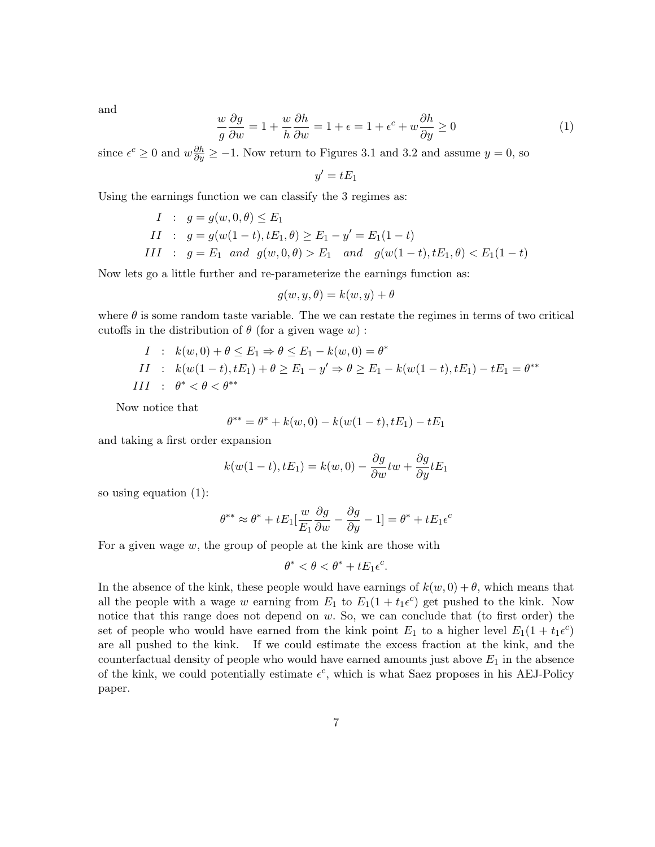and

$$
\frac{w}{g}\frac{\partial g}{\partial w} = 1 + \frac{w}{h}\frac{\partial h}{\partial w} = 1 + \epsilon = 1 + \epsilon^c + w\frac{\partial h}{\partial y} \ge 0
$$
\n(1)

since  $\epsilon^c \ge 0$  and  $w \frac{\partial h}{\partial y} \ge -1$ . Now return to Figures 3.1 and 3.2 and assume  $y = 0$ , so

$$
y'=tE_1
$$

Using the earnings function we can classify the 3 regimes as:

*I*: 
$$
g = g(w, 0, \theta) \le E_1
$$
  
\n*II*:  $g = g(w(1-t), tE_1, \theta) \ge E_1 - y' = E_1(1-t)$   
\n*III*:  $g = E_1$  and  $g(w, 0, \theta) > E_1$  and  $g(w(1-t), tE_1, \theta) < E_1(1-t)$ 

Now lets go a little further and re-parameterize the earnings function as:

$$
g(w, y, \theta) = k(w, y) + \theta
$$

where  $\theta$  is some random taste variable. The we can restate the regimes in terms of two critical cutoffs in the distribution of  $\theta$  (for a given wage w):

*I*: 
$$
k(w, 0) + \theta \le E_1 \Rightarrow \theta \le E_1 - k(w, 0) = \theta^*
$$
  
\n*II*:  $k(w(1-t), tE_1) + \theta \ge E_1 - y' \Rightarrow \theta \ge E_1 - k(w(1-t), tE_1) - tE_1 = \theta^{**}$   
\n*III*:  $\theta^* < \theta < \theta^{**}$ 

Now notice that

$$
\theta^{**} = \theta^* + k(w, 0) - k(w(1-t), tE_1) - tE_1
$$

and taking a first order expansion

$$
k(w(1-t),tE_1) = k(w,0) - \frac{\partial g}{\partial w} \cdot tw + \frac{\partial g}{\partial y} tE_1
$$

so using equation (1):

$$
\theta^{**} \approx \theta^* + tE_1[\frac{w}{E_1}\frac{\partial g}{\partial w} - \frac{\partial g}{\partial y} - 1] = \theta^* + tE_1\epsilon^c
$$

For a given wage  $w$ , the group of people at the kink are those with

$$
\theta^* < \theta < \theta^* + tE_1\epsilon^c.
$$

In the absence of the kink, these people would have earnings of  $k(w, 0) + \theta$ , which means that all the people with a wage w earning from  $E_1$  to  $E_1(1+t_1e^c)$  get pushed to the kink. Now notice that this range does not depend on w. So, we can conclude that (to first order) the set of people who would have earned from the kink point  $E_1$  to a higher level  $E_1(1+t_1\epsilon^c)$ are all pushed to the kink. If we could estimate the excess fraction at the kink, and the counterfactual density of people who would have earned amounts just above  $E_1$  in the absence of the kink, we could potentially estimate  $\epsilon^c$ , which is what Saez proposes in his AEJ-Policy paper.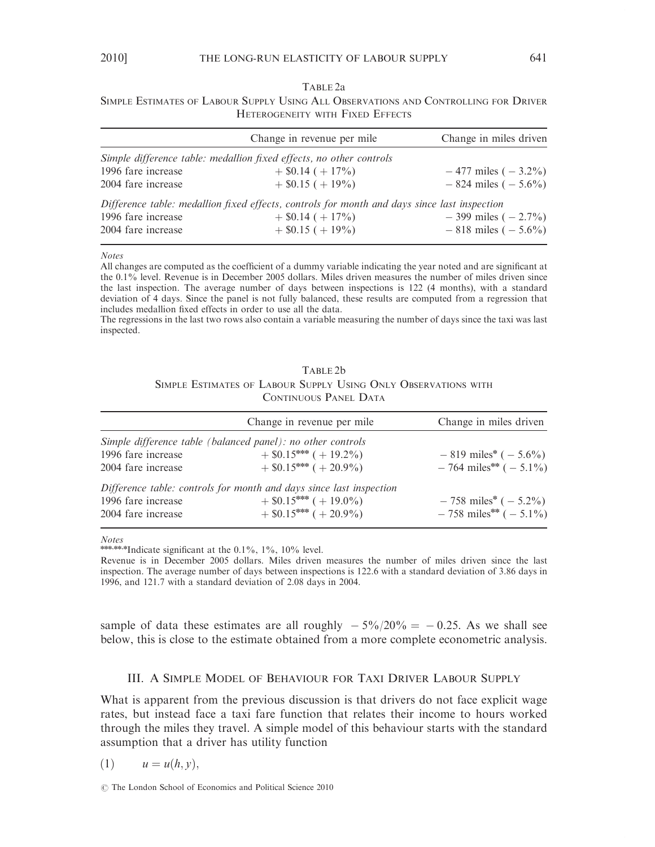SIMPLE ESTIMATES OF LABOUR SUPPLY USING ALL OBSERVATIONS AND CONTROLLING FOR DRIVER HETEROGENEITY WITH FIXED EFFECTS

|                    | Change in revenue per mile                                                                   | Change in miles driven  |
|--------------------|----------------------------------------------------------------------------------------------|-------------------------|
|                    | Simple difference table: medallion fixed effects, no other controls                          |                         |
| 1996 fare increase | $+$ \$0.14 ( $+$ 17%)                                                                        | $-477$ miles $(-3.2\%)$ |
| 2004 fare increase | $+$ \$0.15 ( + 19%)                                                                          | $-824$ miles $(-5.6\%)$ |
|                    | Difference table: medallion fixed effects, controls for month and days since last inspection |                         |
| 1996 fare increase | $+$ \$0.14 ( $+$ 17%)                                                                        | $-399$ miles $(-2.7\%)$ |
| 2004 fare increase | $+$ \$0.15 ( $+$ 19%)                                                                        | $-818$ miles $(-5.6\%)$ |

Notes

All changes are computed as the coefficient of a dummy variable indicating the year noted and are significant at the 0.1% level. Revenue is in December 2005 dollars. Miles driven measures the number of miles driven since the last inspection. The average number of days between inspections is 122 (4 months), with a standard deviation of 4 days. Since the panel is not fully balanced, these results are computed from a regression that includes medallion fixed effects in order to use all the data.

The regressions in the last two rows also contain a variable measuring the number of days since the taxi was last inspected.

| TABLE 2b |  |  |                       |  |  |                                                                |  |  |  |  |
|----------|--|--|-----------------------|--|--|----------------------------------------------------------------|--|--|--|--|
|          |  |  |                       |  |  | SIMPLE ESTIMATES OF LABOUR SUPPLY USING ONLY OBSERVATIONS WITH |  |  |  |  |
|          |  |  | CONTINUOUS PANEL DATA |  |  |                                                                |  |  |  |  |

|                                                                                                         | Change in revenue per mile                                                                                                  | Change in miles driven                                              |
|---------------------------------------------------------------------------------------------------------|-----------------------------------------------------------------------------------------------------------------------------|---------------------------------------------------------------------|
| Simple difference table (balanced panel): no other controls<br>1996 fare increase<br>2004 fare increase | $+$ \$0.15*** ( + 19.2%)<br>$+$ \$0.15*** ( + 20.9%)                                                                        | $-819$ miles* $(-5.6\%)$<br>$-764$ miles <sup>**</sup> ( $-5.1\%$ ) |
| 1996 fare increase<br>2004 fare increase                                                                | Difference table: controls for month and days since last inspection<br>$+$ \$0.15*** ( + 19.0%)<br>$+$ \$0.15*** ( + 20.9%) | $-758 \text{ miles}^* (-5.2\%)$<br>$-758$ miles** $(-5.1\%)$        |

Notes

\*\*\*\*\*\*\*Indicate significant at the  $0.1\%$ ,  $1\%$ ,  $10\%$  level.

Revenue is in December 2005 dollars. Miles driven measures the number of miles driven since the last inspection. The average number of days between inspections is 122.6 with a standard deviation of 3.86 days in 1996, and 121.7 with a standard deviation of 2.08 days in 2004.

sample of data these estimates are all roughly  $-5\%/20\% = -0.25$ . As we shall see below, this is close to the estimate obtained from a more complete econometric analysis.

### III. A SIMPLE MODEL OF BEHAVIOUR FOR TAXI DRIVER LABOUR SUPPLY

What is apparent from the previous discussion is that drivers do not face explicit wage rates, but instead face a taxi fare function that relates their income to hours worked through the miles they travel. A simple model of this behaviour starts with the standard assumption that a driver has utility function

$$
(1) \t u = u(h, y),
$$

 $\odot$  The London School of Economics and Political Science 2010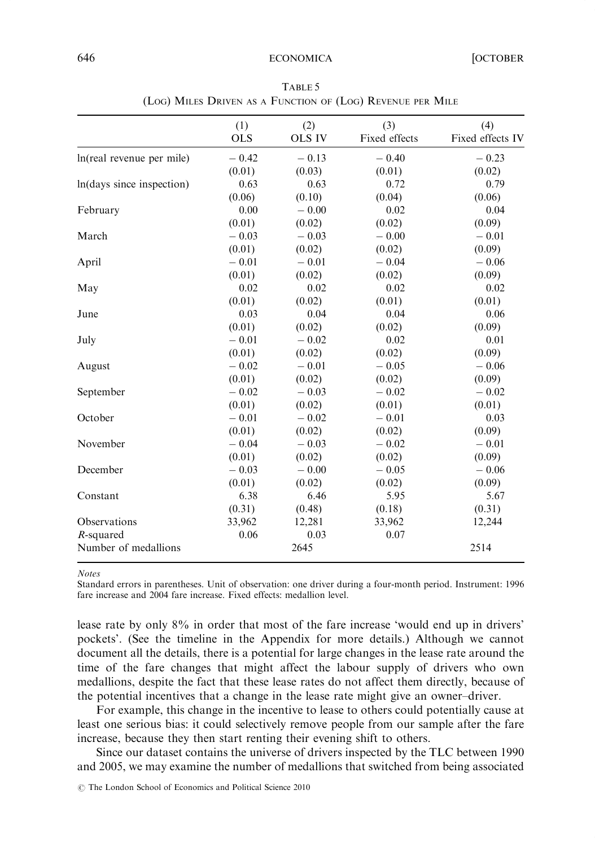|                           | (1)<br><b>OLS</b> | (2)<br><b>OLS IV</b> | (3)<br>Fixed effects | (4)<br>Fixed effects IV |
|---------------------------|-------------------|----------------------|----------------------|-------------------------|
| ln(real revenue per mile) | $-0.42$           | $-0.13$              | $-0.40$              | $-0.23$                 |
|                           | (0.01)            | (0.03)               | (0.01)               | (0.02)                  |
| ln(days since inspection) | 0.63              | 0.63                 | 0.72                 | 0.79                    |
|                           | (0.06)            | (0.10)               | (0.04)               | (0.06)                  |
| February                  | 0.00              | $-0.00$              | 0.02                 | 0.04                    |
|                           | (0.01)            | (0.02)               | (0.02)               | (0.09)                  |
| March                     | $-0.03$           | $-0.03$              | $-0.00$              | $-0.01$                 |
|                           | (0.01)            | (0.02)               | (0.02)               | (0.09)                  |
| April                     | $-0.01$           | $-0.01$              | $-0.04$              | $-0.06$                 |
|                           | (0.01)            | (0.02)               | (0.02)               | (0.09)                  |
| May                       | 0.02              | 0.02                 | 0.02                 | 0.02                    |
|                           | (0.01)            | (0.02)               | (0.01)               | (0.01)                  |
| June                      | 0.03              | 0.04                 | 0.04                 | 0.06                    |
|                           | (0.01)            | (0.02)               | (0.02)               | (0.09)                  |
| July                      | $-0.01$           | $-0.02$              | 0.02                 | 0.01                    |
|                           | (0.01)            | (0.02)               | (0.02)               | (0.09)                  |
| August                    | $-0.02$           | $-0.01$              | $-0.05$              | $-0.06$                 |
|                           | (0.01)            | (0.02)               | (0.02)               | (0.09)                  |
| September                 | $-0.02$           | $-0.03$              | $-0.02$              | $-0.02$                 |
|                           | (0.01)            | (0.02)               | (0.01)               | (0.01)                  |
| October                   | $-0.01$           | $-0.02$              | $-0.01$              | 0.03                    |
|                           | (0.01)            | (0.02)               | (0.02)               | (0.09)                  |
| November                  | $-0.04$           | $-0.03$              | $-0.02$              | $-0.01$                 |
|                           | (0.01)            | (0.02)               | (0.02)               | (0.09)                  |
| December                  | $-0.03$           | $-0.00$              | $-0.05$              | $-0.06$                 |
|                           | (0.01)            | (0.02)               | (0.02)               | (0.09)                  |
| Constant                  | 6.38              | 6.46                 | 5.95                 | 5.67                    |
|                           | (0.31)            | (0.48)               | (0.18)               | (0.31)                  |
| Observations              | 33,962            | 12,281               | 33,962               | 12,244                  |
| $R$ -squared              | 0.06              | 0.03                 | 0.07                 |                         |
| Number of medallions      |                   | 2645                 |                      | 2514                    |

TABLE 5 (LOG) MILES DRIVEN AS A FUNCTION OF (LOG) REVENUE PER MILE

Notes

Standard errors in parentheses. Unit of observation: one driver during a four-month period. Instrument: 1996 fare increase and 2004 fare increase. Fixed effects: medallion level.

lease rate by only 8% in order that most of the fare increase 'would end up in drivers' pockets'. (See the timeline in the Appendix for more details.) Although we cannot document all the details, there is a potential for large changes in the lease rate around the time of the fare changes that might affect the labour supply of drivers who own medallions, despite the fact that these lease rates do not affect them directly, because of the potential incentives that a change in the lease rate might give an owner–driver.

For example, this change in the incentive to lease to others could potentially cause at least one serious bias: it could selectively remove people from our sample after the fare increase, because they then start renting their evening shift to others.

Since our dataset contains the universe of drivers inspected by the TLC between 1990 and 2005, we may examine the number of medallions that switched from being associated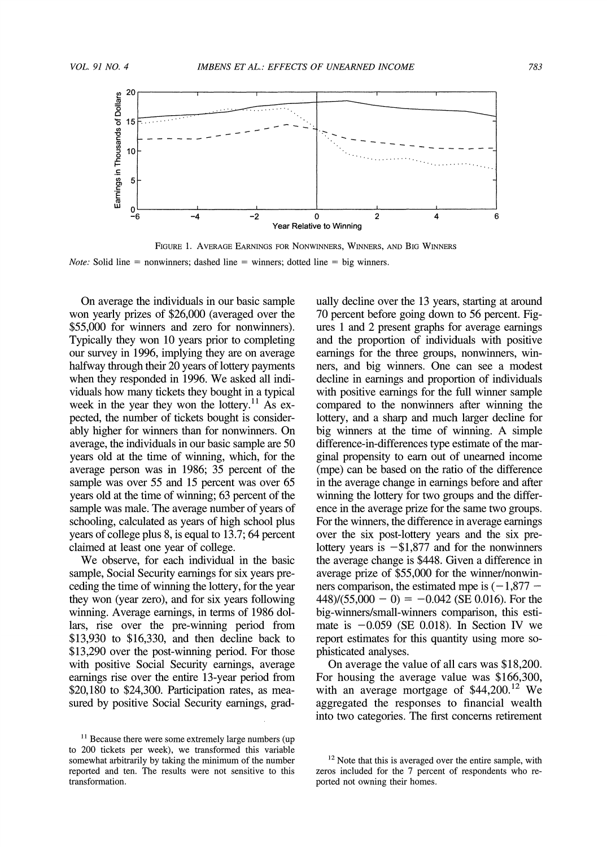

**FIGURE 1. AVERAGE EARNINGS FOR NONWINNERS, WINNERS, AND BIG WINNERS Note: Solid line = nonwinners; dashed line = winners; dotted line = big winners.** 

**On average the individuals in our basic sample won yearly prizes of \$26,000 (averaged over the \$55,000 for winners and zero for nonwinners). Typically they won 10 years prior to completing our survey in 1996, implying they are on average halfway through their 20 years of lottery payments when they responded in 1996. We asked all individuals how many tickets they bought in a typical**  week in the year they won the lottery.<sup>11</sup> As ex**pected, the number of tickets bought is considerably higher for winners than for nonwinners. On average, the individuals in our basic sample are 50 years old at the time of winning, which, for the average person was in 1986; 35 percent of the sample was over 55 and 15 percent was over 65 years old at the time of winning; 63 percent of the sample was male. The average number of years of schooling, calculated as years of high school plus years of college plus 8, is equal to 13.7; 64 percent claimed at least one year of college.** 

**We observe, for each individual in the basic sample, Social Security earnings for six years preceding the time of winning the lottery, for the year they won (year zero), and for six years following winning. Average earnings, in terms of 1986 dollars, rise over the pre-winning period from \$13,930 to \$16,330, and then decline back to \$13,290 over the post-winning period. For those with positive Social Security earnings, average earnings rise over the entire 13-year period from \$20,180 to \$24,300. Participation rates, as measured by positive Social Security earnings, grad-** **ually decline over the 13 years, starting at around 70 percent before going down to 56 percent. Figures 1 and 2 present graphs for average earnings and the proportion of individuals with positive earnings for the three groups, nonwinners, winners, and big winners. One can see a modest decline in earnings and proportion of individuals with positive earnings for the full winner sample compared to the nonwinners after winning the lottery, and a sharp and much larger decline for big winners at the time of winning. A simple difference-in-differences type estimate of the marginal propensity to earn out of unearned income (mpe) can be based on the ratio of the difference in the average change in earnings before and after winning the lottery for two groups and the difference in the average prize for the same two groups. For the winners, the difference in average earnings over the six post-lottery years and the six pre**lottery years is  $-\$1,877$  and for the nonwinners **the average change is \$448. Given a difference in average prize of \$55,000 for the winner/nonwin**ners comparison, the estimated mpe is  $(-1,877 (448)/(55,000 - 0) = -0.042$  (SE 0.016). For the **big-winners/small-winners comparison, this estimate is -0.059 (SE 0.018). In Section IV we report estimates for this quantity using more sophisticated analyses.** 

**On average the value of all cars was \$18,200. For housing the average value was \$166,300, with an average mortgage of \$44,200.12 We aggregated the responses to financial wealth into two categories. The first concerns retirement** 

<sup>&</sup>lt;sup>11</sup> Because there were some extremely large numbers (up to 200 tickets per week), we transformed this variable **somewhat arbitrarily by taking the minimum of the number reported and ten. The results were not sensitive to this transformation.** 

**<sup>12</sup>Note that this is averaged over the entire sample, with zeros included for the 7 percent of respondents who reported not owning their homes.**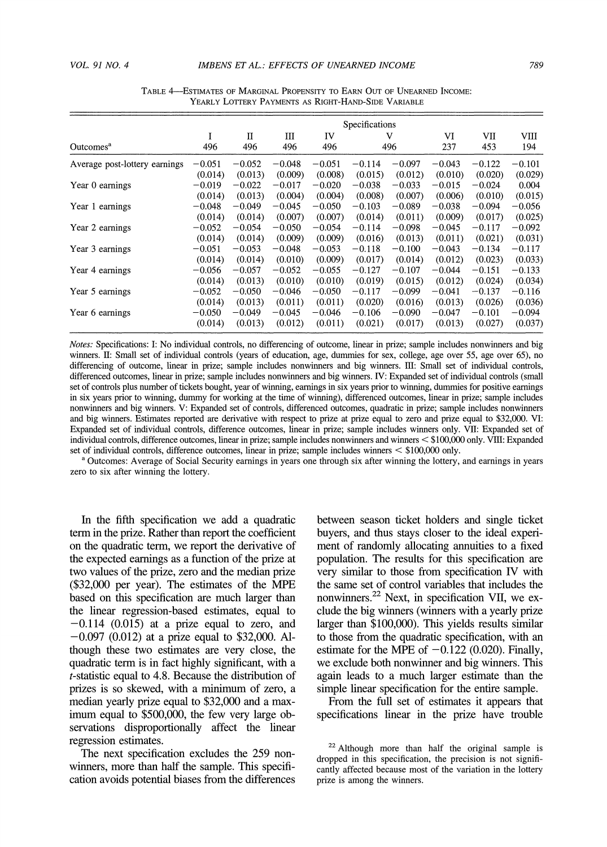|                               | Specifications |          |          |          |          |          |          |          |          |
|-------------------------------|----------------|----------|----------|----------|----------|----------|----------|----------|----------|
|                               |                | П        | Ш        | IV       |          | v        | VI       | VII      | VIII     |
| Outcomes <sup>a</sup>         | 496            | 496      | 496      | 496      |          | 496      | 237      | 453      | 194      |
| Average post-lottery earnings | $-0.051$       | $-0.052$ | $-0.048$ | $-0.051$ | $-0.114$ | $-0.097$ | $-0.043$ | $-0.122$ | $-0.101$ |
|                               | (0.014)        | (0.013)  | (0.009)  | (0.008)  | (0.015)  | (0.012)  | (0.010)  | (0.020)  | (0.029)  |
| Year 0 earnings               | $-0.019$       | $-0.022$ | $-0.017$ | $-0.020$ | $-0.038$ | $-0.033$ | $-0.015$ | $-0.024$ | 0.004    |
|                               | (0.014)        | (0.013)  | (0.004)  | (0.004)  | (0.008)  | (0.007)  | (0.006)  | (0.010)  | (0.015)  |
| Year 1 earnings               | $-0.048$       | $-0.049$ | $-0.045$ | $-0.050$ | $-0.103$ | $-0.089$ | $-0.038$ | $-0.094$ | $-0.056$ |
|                               | (0.014)        | (0.014)  | (0.007)  | (0.007)  | (0.014)  | (0.011)  | (0.009)  | (0.017)  | (0.025)  |
| Year 2 earnings               | $-0.052$       | $-0.054$ | $-0.050$ | $-0.054$ | $-0.114$ | $-0.098$ | $-0.045$ | $-0.117$ | $-0.092$ |
|                               | (0.014)        | (0.014)  | (0.009)  | (0.009)  | (0.016)  | (0.013)  | (0.011)  | (0.021)  | (0.031)  |
| Year 3 earnings               | $-0.051$       | $-0.053$ | $-0.048$ | $-0.053$ | $-0.118$ | $-0.100$ | $-0.043$ | $-0.134$ | $-0.117$ |
|                               | (0.014)        | (0.014)  | (0.010)  | (0.009)  | (0.017)  | (0.014)  | (0.012)  | (0.023)  | (0.033)  |
| Year 4 earnings               | $-0.056$       | $-0.057$ | $-0.052$ | $-0.055$ | $-0.127$ | $-0.107$ | $-0.044$ | $-0.151$ | $-0.133$ |
|                               | (0.014)        | (0.013)  | (0.010)  | (0.010)  | (0.019)  | (0.015)  | (0.012)  | (0.024)  | (0.034)  |

**(0.014) (0.013) (0.011) (0.011) (0.020) (0.016) (0.013) (0.026) (0.036)** 

**(0.014) (0.013) (0.012) (0.011) (0.021) (0.017) (0.013) (0.027) (0.037)** 

TABLE 4-ESTIMATES OF MARGINAL PROPENSITY TO EARN OUT OF UNEARNED INCOME: **YEARLY LOTTERY PAYMENTS AS RIGHT-HAND-SIDE VARIABLE** 

**Notes: Specifications: I: No individual controls, no differencing of outcome, linear in prize; sample includes nonwinners and big winners. II: Small set of individual controls (years of education, age, dummies for sex, college, age over 55, age over 65), no differencing of outcome, linear in prize; sample includes nonwinners and big winners. 11: Small set of individual controls, differenced outcomes, linear in prize; sample includes nonwinners and big winners. IV: Expanded set of individual controls (small set of controls plus number of tickets bought, year of winning, earnings in six years prior to winning, dummies for positive earnings in six years prior to winning, dummy for working at the time of winning), differenced outcomes, linear in prize; sample includes nonwinners and big winners. V: Expanded set of controls, differenced outcomes, quadratic in prize; sample includes nonwinners and big winners. Estimates reported are derivative with respect to prize at prize equal to zero and prize equal to \$32,000. VI: Expanded set of individual controls, difference outcomes, linear in prize; sample includes winners only. VII: Expanded set of individual controls, difference outcomes, linear in prize; sample includes nonwinners and winners < \$100,000 only. VmI: Expanded set of individual controls, difference outcomes, linear in prize; sample includes winners < \$100,000 only.** 

Year 5 earnings -0.052 -0.050 -0.046 -0.050 -0.117 -0.099 -0.041 -0.137 -0.116

**Year 6 earnings**  $-0.050$   $-0.049$   $-0.045$   $-0.046$   $-0.106$   $-0.090$   $-0.047$   $-0.101$   $-0.094$ <br> $(0.014)$   $(0.013)$   $(0.012)$   $(0.011)$   $(0.021)$   $(0.013)$   $(0.027)$   $(0.037)$ 

**<sup>a</sup>Outcomes: Average of Social Security earnings in years one through six after winning the lottery, and earnings in years zero to six after winning the lottery.** 

**In the fifth specification we add a quadratic term in the prize. Rather than report the coefficient on the quadratic term, we report the derivative of the expected earnings as a function of the prize at two values of the prize, zero and the median prize (\$32,000 per year). The estimates of the MPE based on this specification are much larger than the linear regression-based estimates, equal to**   $-0.114$  (0.015) at a prize equal to zero, and **-0.097 (0.012) at a prize equal to \$32,000. Although these two estimates are very close, the quadratic term is in fact highly significant, with a t-statistic equal to 4.8. Because the distribution of prizes is so skewed, with a minimum of zero, a median yearly prize equal to \$32,000 and a maximum equal to \$500,000, the few very large observations disproportionally affect the linear regression estimates.** 

**The next specification excludes the 259 nonwinners, more than half the sample. This specification avoids potential biases from the differences**  **between season ticket holders and single ticket buyers, and thus stays closer to the ideal experiment of randomly allocating annuities to a fixed population. The results for this specification are very similar to those from specification IV with the same set of control variables that includes the nonwinners.22 Next, in specification VII, we exclude the big winners (winners with a yearly prize larger than \$100,000). This yields results similar to those from the quadratic specification, with an**  estimate for the MPE of  $-0.122$  (0.020). Finally, **we exclude both nonwinner and big winners. This again leads to a much larger estimate than the simple linear specification for the entire sample.** 

**From the full set of estimates it appears that specifications linear in the prize have trouble** 

**<sup>22</sup>Although more than half the original sample is dropped in this specification, the precision is not significantly affected because most of the variation in the lottery prize is among the winners.**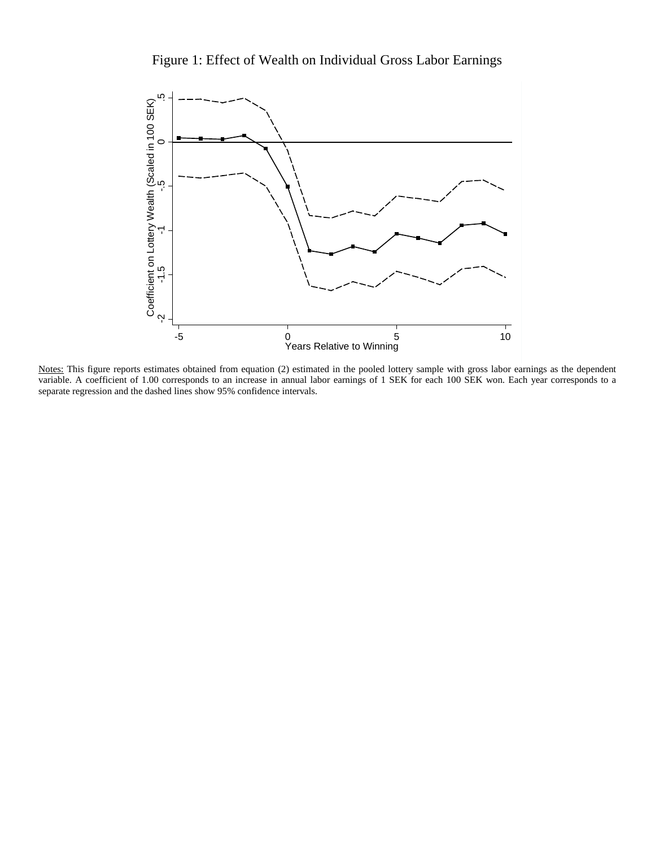



Notes: This figure reports estimates obtained from equation (2) estimated in the pooled lottery sample with gross labor earnings as the dependent variable. A coefficient of 1.00 corresponds to an increase in annual labor earnings of 1 SEK for each 100 SEK won. Each year corresponds to a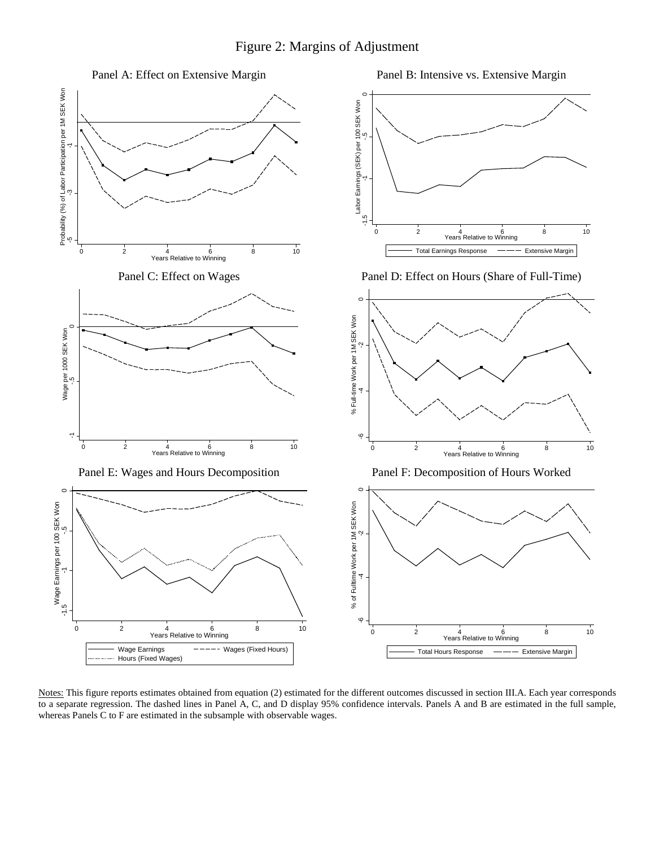

Notes: This figure reports estimates obtained from equation (2) estimated for the different outcomes discussed in section III.A. Each year corresponds to a separate regression. The dashed lines in Panel A, C, and D display 95% confidence intervals. Panels A and B are estimated in the full sample,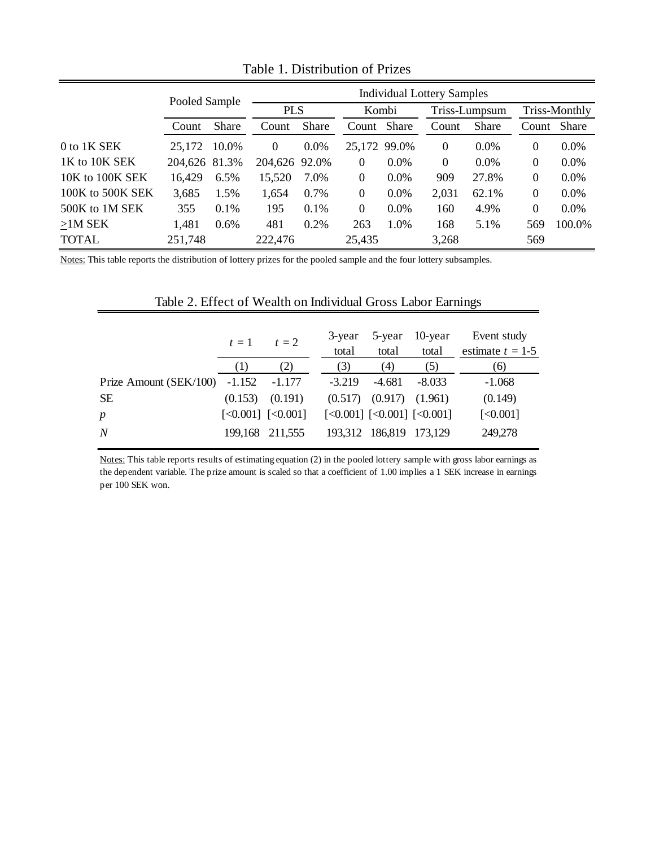|                  | Pooled Sample |              | <b>Individual Lottery Samples</b> |              |                  |         |          |               |          |               |
|------------------|---------------|--------------|-----------------------------------|--------------|------------------|---------|----------|---------------|----------|---------------|
|                  |               |              |                                   | <b>PLS</b>   |                  | Kombi   |          | Triss-Lumpsum |          | Triss-Monthly |
|                  | Count         | <b>Share</b> | Count                             | <b>Share</b> | Count Share      |         | Count    | <b>Share</b>  | Count    | <b>Share</b>  |
| 0 to 1K SEK      | 25,172        | 10.0%        | $\theta$                          | $0.0\%$      | 25,172 99.0%     |         | $\Omega$ | $0.0\%$       | $\theta$ | $0.0\%$       |
| 1K to 10K SEK    | 204,626 81.3% |              | 204,626 92.0%                     |              | 0                | $0.0\%$ | $\theta$ | $0.0\%$       | $\theta$ | 0.0%          |
| 10K to 100K SEK  | 16,429        | 6.5%         | 15,520                            | 7.0%         | $\boldsymbol{0}$ | $0.0\%$ | 909      | 27.8%         | $\theta$ | 0.0%          |
| 100K to 500K SEK | 3,685         | 1.5%         | 1,654                             | $0.7\%$      | $\boldsymbol{0}$ | $0.0\%$ | 2,031    | 62.1%         | $\theta$ | 0.0%          |
| 500K to 1M SEK   | 355           | $0.1\%$      | 195                               | 0.1%         | $\Omega$         | 0.0%    | 160      | 4.9%          | $\theta$ | $0.0\%$       |
| $>1M$ SEK        | 1,481         | 0.6%         | 481                               | 0.2%         | 263              | 1.0%    | 168      | 5.1%          | 569      | 100.0%        |
| <b>TOTAL</b>     | 251,748       |              | 222,476                           |              | 25,435           |         | 3,268    |               | 569      |               |

Table 1. Distribution of Prizes

Notes: This table reports the distribution of lottery prizes for the pooled sample and the four lottery subsamples.

# Table 2. Effect of Wealth on Individual Gross Labor Earnings

|                                   | $t=1$   | $t=2$                                             | 3-year<br>total | 5-year<br>total               | 10-year<br>total                                                                             | Event study<br>estimate $t = 1-5$ |
|-----------------------------------|---------|---------------------------------------------------|-----------------|-------------------------------|----------------------------------------------------------------------------------------------|-----------------------------------|
|                                   | (1)     | (2)                                               | (3)             | (4)                           | (5)                                                                                          | (6)                               |
| Prize Amount ( $SEK/100$ ) -1.152 |         | $-1.177$                                          | $-3.219$        | $-4.681$                      | $-8.033$                                                                                     | $-1.068$                          |
| <b>SE</b>                         | (0.153) | (0.191)                                           |                 | $(0.517)$ $(0.917)$ $(1.961)$ |                                                                                              | (0.149)                           |
| $\boldsymbol{p}$                  |         | $\left[ < 0.001 \right]$ $\left[ < 0.001 \right]$ |                 |                               | $\left[ \langle 0.001 \right]$ $\left[ \langle 0.001 \right]$ $\left[ \langle 0.001 \right]$ | [<0.001]                          |
| N                                 |         | 199,168 211,555                                   |                 | 193,312 186,819 173,129       |                                                                                              | 249,278                           |

Notes: This table reports results of estimating equation (2) in the pooled lottery sample with gross labor earnings as the dependent variable. The prize amount is scaled so that a coefficient of 1.00 implies a 1 SEK increase in earnings per 100 SEK won.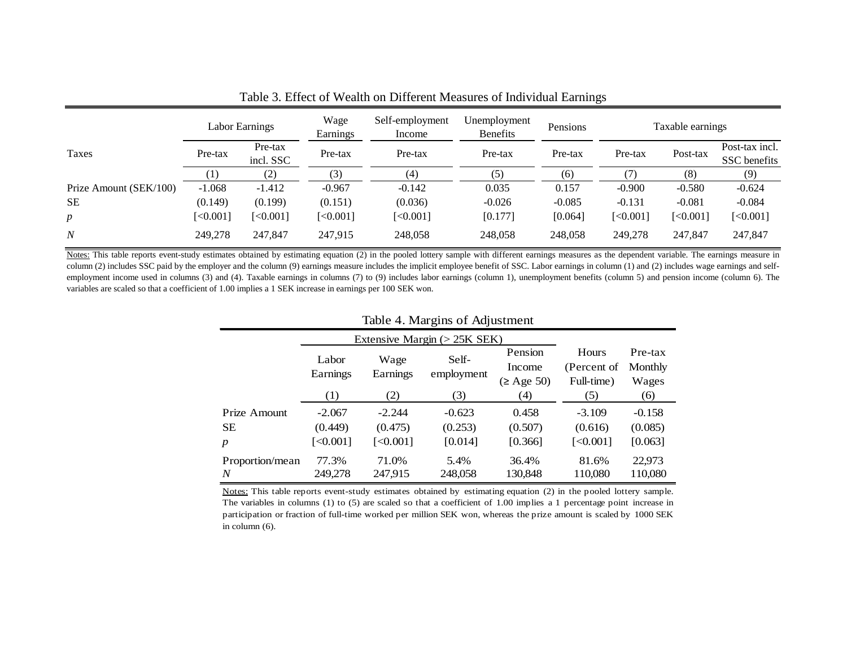| Labor Earnings         |          | Wage<br>Earnings | Self-employment<br>Income | Unemployment<br><b>Benefits</b> | Pensions |          | Taxable earnings |          |                |
|------------------------|----------|------------------|---------------------------|---------------------------------|----------|----------|------------------|----------|----------------|
| Taxes                  | Pre-tax  | Pre-tax          | Pre-tax                   | Pre-tax                         | Pre-tax  | Pre-tax  | Pre-tax          | Post-tax | Post-tax incl. |
|                        |          | incl. SSC        |                           |                                 |          |          |                  |          | SSC benefits   |
|                        |          | (2)              | (3)                       | (4)                             | (5)      | (6)      | 7)               | (8)      | (9)            |
| Prize Amount (SEK/100) | $-1.068$ | $-1.412$         | $-0.967$                  | $-0.142$                        | 0.035    | 0.157    | $-0.900$         | $-0.580$ | $-0.624$       |
| <b>SE</b>              | (0.149)  | (0.199)          | (0.151)                   | (0.036)                         | $-0.026$ | $-0.085$ | $-0.131$         | $-0.081$ | $-0.084$       |
| $\boldsymbol{p}$       | [<0.001] | [<,0.001]        | [<0.001]                  | [<0.001]                        | [0.177]  | [0.064]  | [<0.001]         | [<0.001] | [<0.001]       |
| N                      | 249,278  | 247,847          | 247,915                   | 248,058                         | 248,058  | 248,058  | 249,278          | 247,847  | 247,847        |

Table 3. Effect of Wealth on Different Measures of Individual Earnings

Notes: This table reports event-study estimates obtained by estimating equation (2) in the pooled lottery sample with different earnings measures as the dependent variable. The earnings measure in column (2) includes SSC paid by the employer and the column (9) earnings measure includes the implicit employee benefit of SSC. Labor earnings in column (1) and (2) includes wage earnings and selfemployment income used in columns (3) and (4). Taxable earnings in columns (7) to (9) includes labor earnings (column 1), unemployment benefits (column 5) and pension income (column 6). The variables are scaled so that a coefficient of 1.00 implies a 1 SEK increase in earnings per 100 SEK won.

| Table 4. Margins of Adjustment |                               |          |            |                 |             |          |  |  |  |
|--------------------------------|-------------------------------|----------|------------|-----------------|-------------|----------|--|--|--|
|                                | Extensive Margin $(>25K$ SEK) |          |            |                 |             |          |  |  |  |
|                                | Labor                         | Wage     | Self-      | Pension         | Hours       | Pre-tax  |  |  |  |
|                                | Earnings                      | Earnings |            | Income          | (Percent of | Monthly  |  |  |  |
|                                |                               |          | employment | $(\geq$ Age 50) | Full-time)  | Wages    |  |  |  |
|                                | (1)                           | (2)      | (3)        | (4)             | (5)         | (6)      |  |  |  |
| Prize Amount                   | $-2.067$                      | $-2.244$ | $-0.623$   | 0.458           | $-3.109$    | $-0.158$ |  |  |  |
| <b>SE</b>                      | (0.449)                       | (0.475)  | (0.253)    | (0.507)         | (0.616)     | (0.085)  |  |  |  |
| $\boldsymbol{p}$               | [<0.001]                      | [<0.001] | [0.014]    | [0.366]         | [<0.001]    | [0.063]  |  |  |  |
| Proportion/mean                | 77.3%                         | 71.0%    | 5.4%       | 36.4%           | 81.6%       | 22.973   |  |  |  |
| N                              | 249,278                       | 247,915  | 248,058    | 130,848         | 110,080     | 110,080  |  |  |  |

## Table 4. Margins of Adjustment

Notes: This table reports event-study estimates obtained by estimating equation (2) in the pooled lottery sample. The variables in columns (1) to (5) are scaled so that a coefficient of 1.00 implies a 1 percentage point increase in participation or fraction of full-time worked per million SEK won, whereas the prize amount is scaled by 1000 SEK in column (6).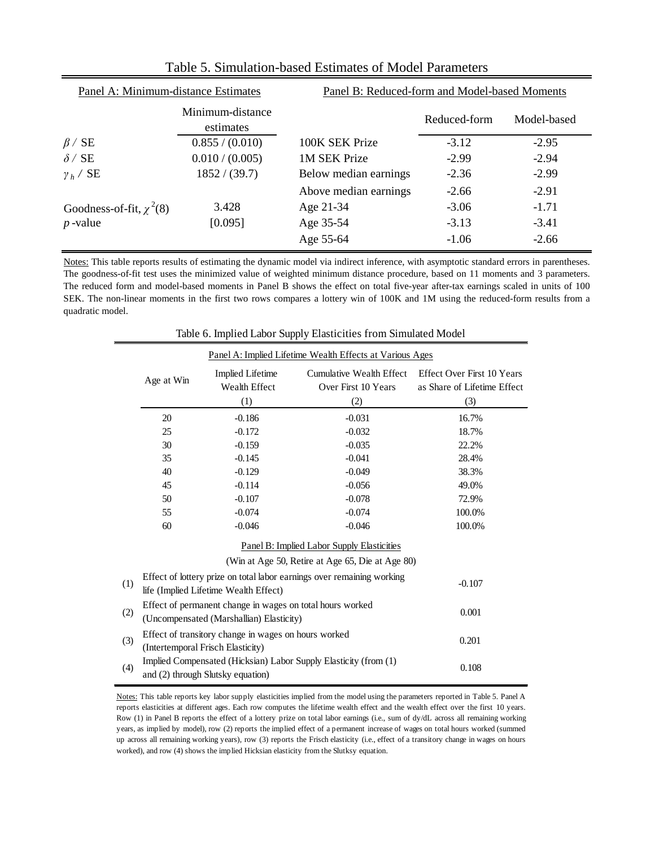| Panel A: Minimum-distance Estimates |                               | Panel B: Reduced-form and Model-based Moments |              |             |  |  |  |
|-------------------------------------|-------------------------------|-----------------------------------------------|--------------|-------------|--|--|--|
|                                     | Minimum-distance<br>estimates |                                               | Reduced-form | Model-based |  |  |  |
| $\beta$ / SE                        | 0.855 / (0.010)               | 100K SEK Prize                                | $-3.12$      | $-2.95$     |  |  |  |
| $\delta$ / SE                       | 0.010 / (0.005)               | 1M SEK Prize                                  | $-2.99$      | $-2.94$     |  |  |  |
| $\gamma_h$ / SE                     | 1852 / (39.7)                 | Below median earnings                         | $-2.36$      | $-2.99$     |  |  |  |
|                                     |                               | Above median earnings                         | $-2.66$      | $-2.91$     |  |  |  |
| Goodness-of-fit, $\chi^2(8)$        | 3.428                         | Age 21-34                                     | $-3.06$      | $-1.71$     |  |  |  |
| $p$ -value                          | [0.095]                       | Age 35-54                                     | $-3.13$      | $-3.41$     |  |  |  |
|                                     |                               | Age 55-64                                     | $-1.06$      | $-2.66$     |  |  |  |

Table 5. Simulation-based Estimates of Model Parameters

Notes: This table reports results of estimating the dynamic model via indirect inference, with asymptotic standard errors in parentheses. The goodness-of-fit test uses the minimized value of weighted minimum distance procedure, based on 11 moments and 3 parameters. The reduced form and model-based moments in Panel B shows the effect on total five-year after-tax earnings scaled in units of 100 SEK. The non-linear moments in the first two rows compares a lottery win of 100K and 1M using the reduced-form results from a quadratic model.

|                                                  |                                                                                                                 |                                                 | r r                                             |                                                                  |  |  |  |  |
|--------------------------------------------------|-----------------------------------------------------------------------------------------------------------------|-------------------------------------------------|-------------------------------------------------|------------------------------------------------------------------|--|--|--|--|
|                                                  | Panel A: Implied Lifetime Wealth Effects at Various Ages                                                        |                                                 |                                                 |                                                                  |  |  |  |  |
|                                                  | Age at Win                                                                                                      | <b>Implied Lifetime</b><br><b>Wealth Effect</b> | Cumulative Wealth Effect<br>Over First 10 Years | <b>Effect Over First 10 Years</b><br>as Share of Lifetime Effect |  |  |  |  |
|                                                  |                                                                                                                 | (1)                                             | (2)                                             | (3)                                                              |  |  |  |  |
|                                                  | 20                                                                                                              | $-0.186$                                        | $-0.031$                                        | 16.7%                                                            |  |  |  |  |
|                                                  | 25                                                                                                              | $-0.172$                                        | $-0.032$                                        | 18.7%                                                            |  |  |  |  |
|                                                  | 30                                                                                                              | $-0.159$                                        | $-0.035$                                        | 22.2%                                                            |  |  |  |  |
|                                                  | 35                                                                                                              | $-0.145$                                        | $-0.041$                                        | 28.4%                                                            |  |  |  |  |
|                                                  | 40                                                                                                              | $-0.129$                                        | $-0.049$                                        | 38.3%                                                            |  |  |  |  |
|                                                  | 45                                                                                                              | $-0.114$                                        | $-0.056$                                        | 49.0%                                                            |  |  |  |  |
|                                                  | 50                                                                                                              | $-0.107$                                        | $-0.078$                                        | 72.9%                                                            |  |  |  |  |
|                                                  | 55                                                                                                              | $-0.074$                                        | $-0.074$                                        | 100.0%                                                           |  |  |  |  |
|                                                  | 60                                                                                                              | $-0.046$                                        | $-0.046$                                        | 100.0%                                                           |  |  |  |  |
| Panel B: Implied Labor Supply Elasticities       |                                                                                                                 |                                                 |                                                 |                                                                  |  |  |  |  |
| (Win at Age 50, Retire at Age 65, Die at Age 80) |                                                                                                                 |                                                 |                                                 |                                                                  |  |  |  |  |
| (1)                                              | Effect of lottery prize on total labor earnings over remaining working<br>life (Implied Lifetime Wealth Effect) | $-0.107$                                        |                                                 |                                                                  |  |  |  |  |
| (2)                                              | Effect of permanent change in wages on total hours worked<br>0.001<br>(Uncompensated (Marshallian) Elasticity)  |                                                 |                                                 |                                                                  |  |  |  |  |
| (3)                                              | Effect of transitory change in wages on hours worked<br>0.201<br>(Intertemporal Frisch Elasticity)              |                                                 |                                                 |                                                                  |  |  |  |  |
| (4)                                              | Implied Compensated (Hicksian) Labor Supply Elasticity (from (1)<br>0.108<br>and (2) through Slutsky equation)  |                                                 |                                                 |                                                                  |  |  |  |  |
|                                                  |                                                                                                                 |                                                 |                                                 |                                                                  |  |  |  |  |

Table 6. Implied Labor Supply Elasticities from Simulated Model

Notes: This table reports key labor supply elasticities implied from the model using the parameters reported in Table 5. Panel A reports elasticities at different ages. Each row computes the lifetime wealth effect and the wealth effect over the first 10 years. Row (1) in Panel B reports the effect of a lottery prize on total labor earnings (i.e., sum of dy/dL across all remaining working years, as implied by model), row (2) reports the implied effect of a permanent increase of wages on total hours worked (summed up across all remaining working years), row (3) reports the Frisch elasticity (i.e., effect of a transitory change in wages on hours worked), and row (4) shows the implied Hicksian elasticity from the Slutksy equation.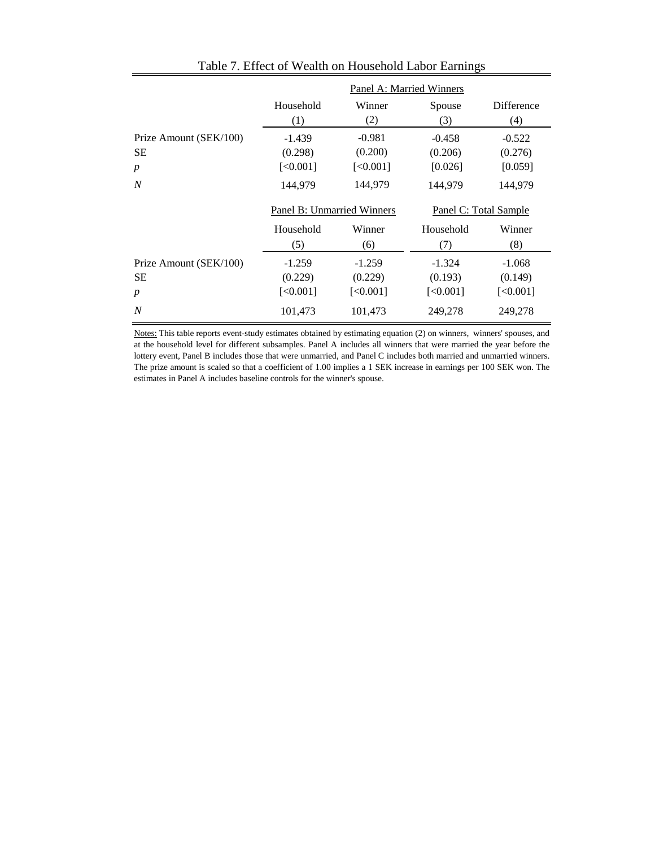|                        | Panel A: Married Winners   |           |                       |                         |  |
|------------------------|----------------------------|-----------|-----------------------|-------------------------|--|
|                        | Household                  | Winner    | Spouse                | Difference              |  |
|                        | (1)                        | (2)       | (3)                   | (4)                     |  |
| Prize Amount (SEK/100) | $-1.439$                   | $-0.981$  | $-0.458$              | $-0.522$                |  |
| <b>SE</b>              | (0.298)                    | (0.200)   | (0.206)               | (0.276)                 |  |
| $\boldsymbol{p}$       | [<0.001]                   | [<0.001]  | [0.026]               | [0.059]                 |  |
| N                      | 144,979                    | 144,979   | 144,979               | 144,979                 |  |
|                        | Panel B: Unmarried Winners |           | Panel C: Total Sample |                         |  |
|                        | Household                  | Winner    | Household             | Winner                  |  |
|                        | (5)                        | (6)       | (7)                   | (8)                     |  |
| Prize Amount (SEK/100) | $-1.259$                   | $-1.259$  | $-1.324$              | $-1.068$                |  |
| <b>SE</b>              | (0.229)                    | (0.229)   | (0.193)               | (0.149)                 |  |
| $\boldsymbol{p}$       | $[<0.001]$                 | [<,0.001] | [<0.001]              | $\left[ <0.001 \right]$ |  |
| $\boldsymbol{N}$       | 101,473                    | 101,473   | 249,278               | 249,278                 |  |

Table 7. Effect of Wealth on Household Labor Earnings

Notes: This table reports event-study estimates obtained by estimating equation (2) on winners, winners' spouses, and at the household level for different subsamples. Panel A includes all winners that were married the year before the lottery event, Panel B includes those that were unmarried, and Panel C includes both married and unmarried winners. The prize amount is scaled so that a coefficient of 1.00 implies a 1 SEK increase in earnings per 100 SEK won. The estimates in Panel A includes baseline controls for the winner's spouse.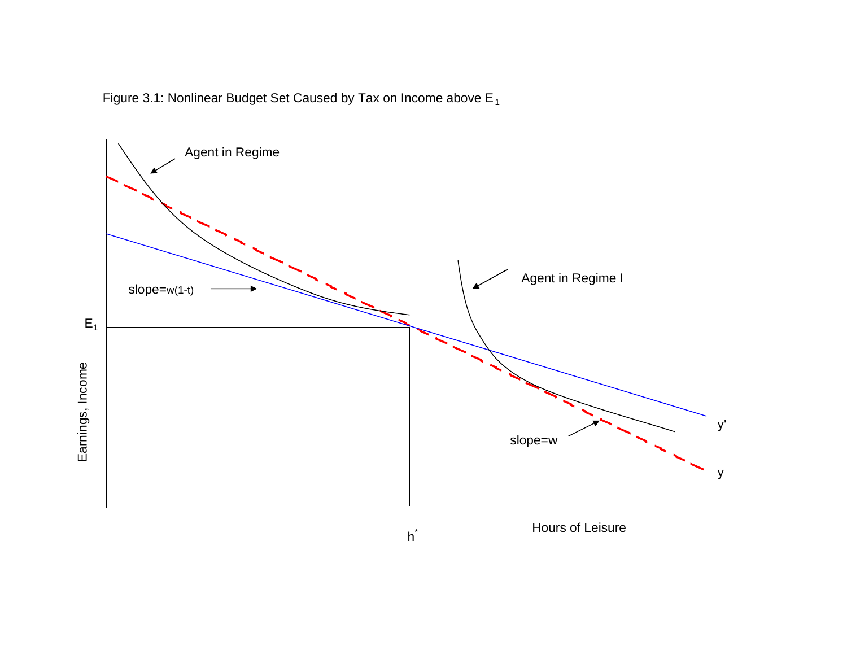Figure 3.1: Nonlinear Budget Set Caused by Tax on Income above E  $_{\rm 1}$ 



 $h^*$ 

Hours of Leisure